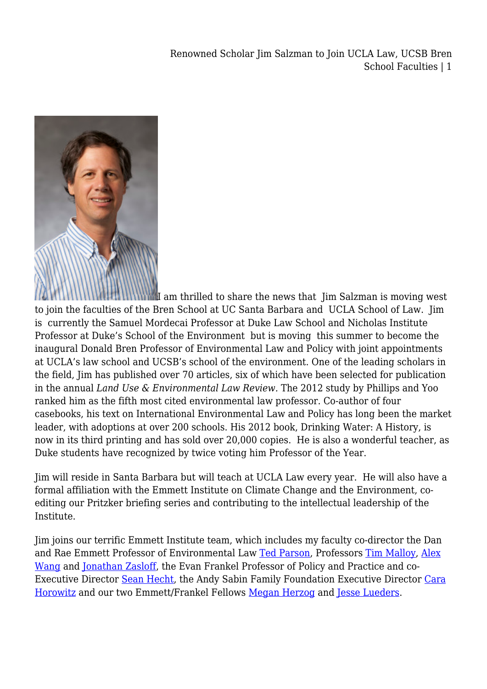Renowned Scholar Jim Salzman to Join UCLA Law, UCSB Bren School Faculties | 1



I am thrilled to share the news that Jim Salzman is moving west to join the faculties of the Bren School at UC Santa Barbara and UCLA School of Law. Jim is currently the Samuel Mordecai Professor at Duke Law School and Nicholas Institute Professor at Duke's School of the Environment but is moving this summer to become the inaugural Donald Bren Professor of Environmental Law and Policy with joint appointments at UCLA's law school and UCSB's school of the environment. One of the leading scholars in the field, Jim has published over 70 articles, six of which have been selected for publication in the annual *Land Use & Environmental Law Review.* The 2012 study by Phillips and Yoo ranked him as the fifth most cited environmental law professor. Co-author of four casebooks, his text on International Environmental Law and Policy has long been the market leader, with adoptions at over 200 schools. His 2012 book, Drinking Water: A History, is now in its third printing and has sold over 20,000 copies. He is also a wonderful teacher, as Duke students have recognized by twice voting him Professor of the Year.

Jim will reside in Santa Barbara but will teach at UCLA Law every year. He will also have a formal affiliation with the Emmett Institute on Climate Change and the Environment, coediting our Pritzker briefing series and contributing to the intellectual leadership of the Institute.

Jim joins our terrific Emmett Institute team, which includes my faculty co-director the Dan and Rae Emmett Professor of Environmental Law [Ted Parson](https://law.ucla.edu/faculty/faculty-profiles/edward-a-parson/), Professors [Tim Malloy](https://law.ucla.edu/faculty/faculty-profiles/timothy-malloy/), [Alex](https://law.ucla.edu/faculty/faculty-profiles/alex-wang/) [Wang](https://law.ucla.edu/faculty/faculty-profiles/alex-wang/) and [Jonathan Zasloff,](https://law.ucla.edu/faculty/faculty-profiles/jonathan-m-zasloff/) the Evan Frankel Professor of Policy and Practice and co-Executive Director [Sean Hecht](https://law.ucla.edu/faculty/faculty-profiles/sean-b-hecht/), the Andy Sabin Family Foundation Executive Director [Cara](https://law.ucla.edu/faculty/faculty-profiles/cara-horowitz/) [Horowitz](https://law.ucla.edu/faculty/faculty-profiles/cara-horowitz/) and our two Emmett/Frankel Fellows [Megan Herzog](https://www.law.ucla.edu/faculty/faculty-profiles/megan-m-herzog/) and [Jesse Lueders](https://www.law.ucla.edu/faculty/faculty-profiles/jesse-l-lueders/).